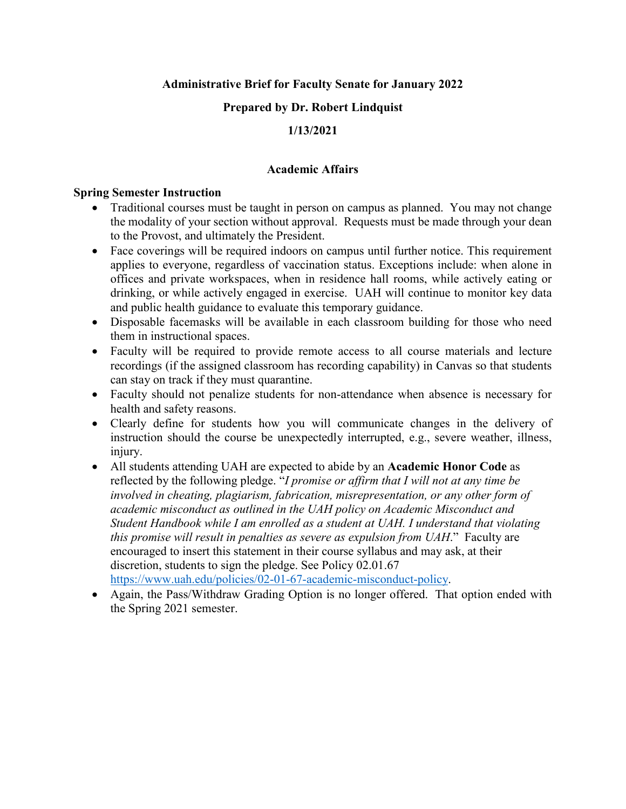**Administrative Brief for Faculty Senate for January 2022**

### **Prepared by Dr. Robert Lindquist**

## **1/13/2021**

#### **Academic Affairs**

#### **Spring Semester Instruction**

- Traditional courses must be taught in person on campus as planned. You may not change the modality of your section without approval. Requests must be made through your dean to the Provost, and ultimately the President.
- Face coverings will be required indoors on campus until further notice. This requirement applies to everyone, regardless of vaccination status. Exceptions include: when alone in offices and private workspaces, when in residence hall rooms, while actively eating or drinking, or while actively engaged in exercise. UAH will continue to monitor key data and public health guidance to evaluate this temporary guidance.
- Disposable facemasks will be available in each classroom building for those who need them in instructional spaces.
- Faculty will be required to provide remote access to all course materials and lecture recordings (if the assigned classroom has recording capability) in Canvas so that students can stay on track if they must quarantine.
- Faculty should not penalize students for non-attendance when absence is necessary for health and safety reasons.
- Clearly define for students how you will communicate changes in the delivery of instruction should the course be unexpectedly interrupted, e.g., severe weather, illness, injury.
- All students attending UAH are expected to abide by an **Academic Honor Code** as reflected by the following pledge. "*I promise or affirm that I will not at any time be involved in cheating, plagiarism, fabrication, misrepresentation, or any other form of academic misconduct as outlined in the UAH policy on Academic Misconduct and Student Handbook while I am enrolled as a student at UAH. I understand that violating this promise will result in penalties as severe as expulsion from UAH*." Faculty are encouraged to insert this statement in their course syllabus and may ask, at their discretion, students to sign the pledge. See Policy 02.01.67 [https://www.uah.edu/policies/02-01-67-academic-misconduct-policy.](https://www.uah.edu/policies/02-01-67-academic-misconduct-policy)
- Again, the Pass/Withdraw Grading Option is no longer offered. That option ended with the Spring 2021 semester.